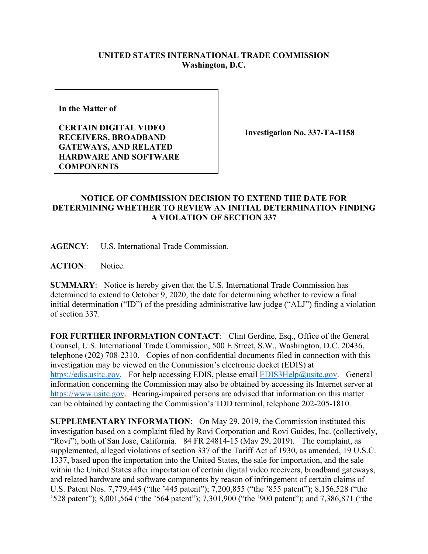## **UNITED STATES INTERNATIONAL TRADE COMMISSION Washington, D.C.**

**In the Matter of** 

**CERTAIN DIGITAL VIDEO RECEIVERS, BROADBAND GATEWAYS, AND RELATED HARDWARE AND SOFTWARE COMPONENTS**

**Investigation No. 337-TA-1158**

## **NOTICE OF COMMISSION DECISION TO EXTEND THE DATE FOR DETERMINING WHETHER TO REVIEW AN INITIAL DETERMINATION FINDING A VIOLATION OF SECTION 337**

**AGENCY**: U.S. International Trade Commission.

**ACTION**: Notice.

**SUMMARY**: Notice is hereby given that the U.S. International Trade Commission has determined to extend to October 9, 2020, the date for determining whether to review a final initial determination ("ID") of the presiding administrative law judge ("ALJ") finding a violation of section 337.

FOR FURTHER INFORMATION CONTACT: Clint Gerdine, Esq., Office of the General Counsel, U.S. International Trade Commission, 500 E Street, S.W., Washington, D.C. 20436, telephone (202) 708-2310. Copies of non-confidential documents filed in connection with this investigation may be viewed on the Commission's electronic docket (EDIS) at [https://edis.usitc.gov.](https://edis.usitc.gov/) For help accessing EDIS, please email [EDIS3Help@usitc.gov.](mailto:EDIS3Help@usitc.gov) General information concerning the Commission may also be obtained by accessing its Internet server at [https://www.usitc.gov.](https://www.usitc.gov/) Hearing-impaired persons are advised that information on this matter can be obtained by contacting the Commission's TDD terminal, telephone 202-205-1810.

**SUPPLEMENTARY INFORMATION**: On May 29, 2019, the Commission instituted this investigation based on a complaint filed by Rovi Corporation and Rovi Guides, Inc. (collectively, "Rovi"), both of San Jose, California. 84 FR 24814-15 (May 29, 2019). The complaint, as supplemented, alleged violations of section 337 of the Tariff Act of 1930, as amended, 19 U.S.C. 1337, based upon the importation into the United States, the sale for importation, and the sale within the United States after importation of certain digital video receivers, broadband gateways, and related hardware and software components by reason of infringement of certain claims of U.S. Patent Nos. 7,779,445 ("the '445 patent"); 7,200,855 ("the '855 patent"); 8,156,528 ("the '528 patent"); 8,001,564 ("the '564 patent"); 7,301,900 ("the '900 patent"); and 7,386,871 ("the